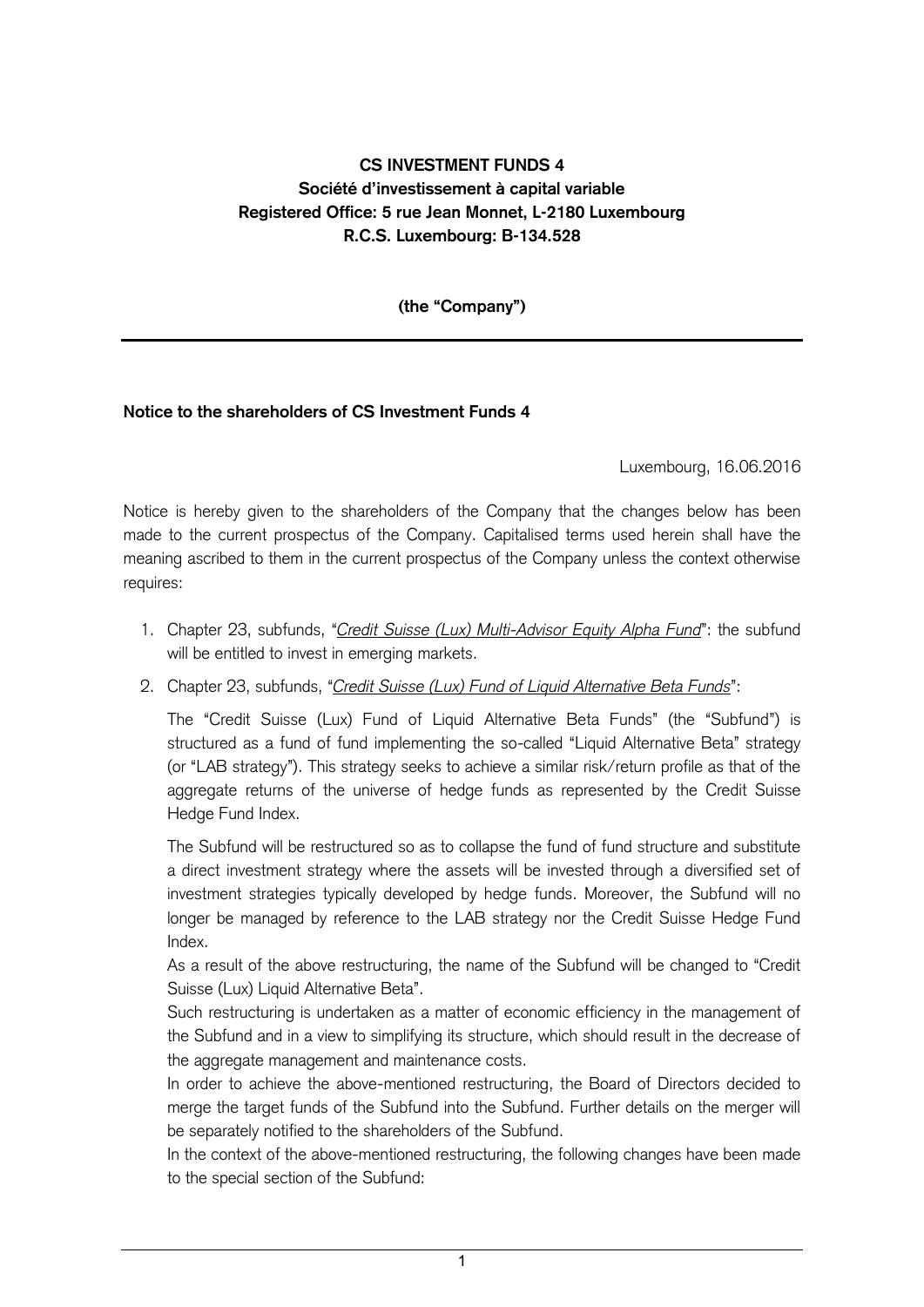## **CS INVESTMENT FUNDS 4 Société d'investissement à capital variable Registered Office: 5 rue Jean Monnet, L-2180 Luxembourg R.C.S. Luxembourg: B-134.528**

**(the "Company")**

## **Notice to the shareholders of CS Investment Funds 4**

Luxembourg, 16.06.2016

Notice is hereby given to the shareholders of the Company that the changes below has been made to the current prospectus of the Company. Capitalised terms used herein shall have the meaning ascribed to them in the current prospectus of the Company unless the context otherwise requires:

- 1. Chapter 23, subfunds, "*Credit Suisse (Lux) Multi-Advisor Equity Alpha Fund*": the subfund will be entitled to invest in emerging markets.
- 2. Chapter 23, subfunds, "*Credit Suisse (Lux) Fund of Liquid Alternative Beta Funds*":

The "Credit Suisse (Lux) Fund of Liquid Alternative Beta Funds" (the "Subfund") is structured as a fund of fund implementing the so-called "Liquid Alternative Beta" strategy (or "LAB strategy"). This strategy seeks to achieve a similar risk/return profile as that of the aggregate returns of the universe of hedge funds as represented by the Credit Suisse Hedge Fund Index.

The Subfund will be restructured so as to collapse the fund of fund structure and substitute a direct investment strategy where the assets will be invested through a diversified set of investment strategies typically developed by hedge funds. Moreover, the Subfund will no longer be managed by reference to the LAB strategy nor the Credit Suisse Hedge Fund Index.

As a result of the above restructuring, the name of the Subfund will be changed to "Credit Suisse (Lux) Liquid Alternative Beta".

Such restructuring is undertaken as a matter of economic efficiency in the management of the Subfund and in a view to simplifying its structure, which should result in the decrease of the aggregate management and maintenance costs.

In order to achieve the above-mentioned restructuring, the Board of Directors decided to merge the target funds of the Subfund into the Subfund. Further details on the merger will be separately notified to the shareholders of the Subfund.

In the context of the above-mentioned restructuring, the following changes have been made to the special section of the Subfund:

1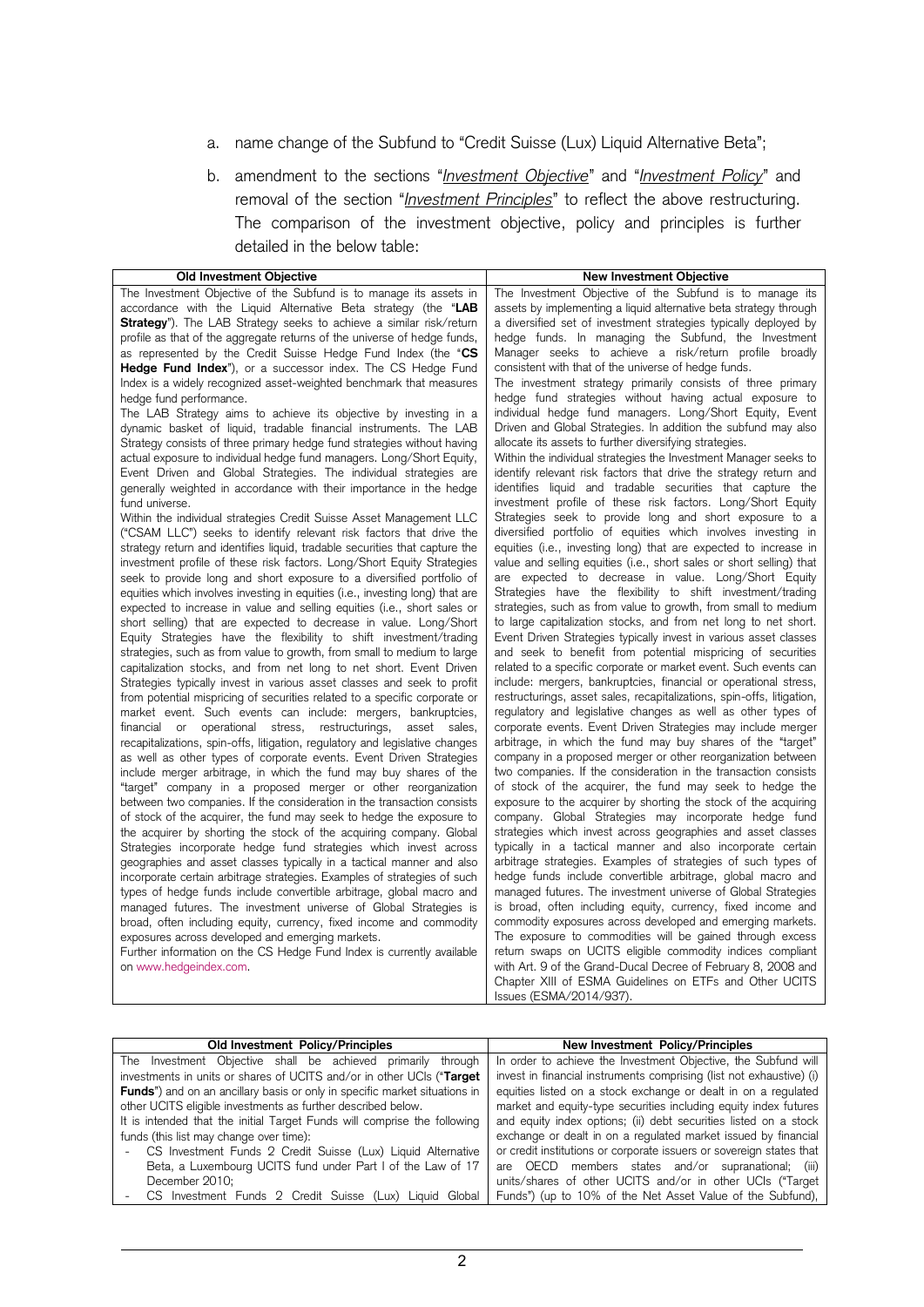- a. name change of the Subfund to "Credit Suisse (Lux) Liquid Alternative Beta";
- b. amendment to the sections "*Investment Objective*" and "*Investment Policy*" and removal of the section "*Investment Principles*" to reflect the above restructuring. The comparison of the investment objective, policy and principles is further detailed in the below table:

| Old Investment Objective                                                                                                                | <b>New Investment Objective</b>                                                                                        |
|-----------------------------------------------------------------------------------------------------------------------------------------|------------------------------------------------------------------------------------------------------------------------|
| The Investment Objective of the Subfund is to manage its assets in                                                                      | The Investment Objective of the Subfund is to manage its                                                               |
| accordance with the Liquid Alternative Beta strategy (the "LAB                                                                          | assets by implementing a liquid alternative beta strategy through                                                      |
| Strategy"). The LAB Strategy seeks to achieve a similar risk/return                                                                     | a diversified set of investment strategies typically deployed by                                                       |
| profile as that of the aggregate returns of the universe of hedge funds,                                                                | hedge funds. In managing the Subfund, the Investment                                                                   |
| as represented by the Credit Suisse Hedge Fund Index (the "CS                                                                           | Manager seeks to achieve a risk/return profile broadly                                                                 |
| <b>Hedge Fund Index</b> "), or a successor index. The CS Hedge Fund                                                                     | consistent with that of the universe of hedge funds.                                                                   |
| Index is a widely recognized asset-weighted benchmark that measures                                                                     | The investment strategy primarily consists of three primary                                                            |
| hedge fund performance.                                                                                                                 | hedge fund strategies without having actual exposure to                                                                |
| The LAB Strategy aims to achieve its objective by investing in a                                                                        | individual hedge fund managers. Long/Short Equity, Event                                                               |
| dynamic basket of liquid, tradable financial instruments. The LAB                                                                       | Driven and Global Strategies. In addition the subfund may also                                                         |
| Strategy consists of three primary hedge fund strategies without having                                                                 | allocate its assets to further diversifying strategies.                                                                |
| actual exposure to individual hedge fund managers. Long/Short Equity,                                                                   | Within the individual strategies the Investment Manager seeks to                                                       |
| Event Driven and Global Strategies. The individual strategies are                                                                       | identify relevant risk factors that drive the strategy return and                                                      |
| generally weighted in accordance with their importance in the hedge                                                                     | identifies liquid and tradable securities that capture the                                                             |
| fund universe.<br>Within the individual strategies Credit Suisse Asset Management LLC                                                   | investment profile of these risk factors. Long/Short Equity<br>Strategies seek to provide long and short exposure to a |
| ("CSAM LLC") seeks to identify relevant risk factors that drive the                                                                     | diversified portfolio of equities which involves investing in                                                          |
| strategy return and identifies liquid, tradable securities that capture the                                                             | equities (i.e., investing long) that are expected to increase in                                                       |
| investment profile of these risk factors. Long/Short Equity Strategies                                                                  | value and selling equities (i.e., short sales or short selling) that                                                   |
| seek to provide long and short exposure to a diversified portfolio of                                                                   | are expected to decrease in value. Long/Short Equity                                                                   |
| equities which involves investing in equities (i.e., investing long) that are                                                           | Strategies have the flexibility to shift investment/trading                                                            |
| expected to increase in value and selling equities (i.e., short sales or                                                                | strategies, such as from value to growth, from small to medium                                                         |
| short selling) that are expected to decrease in value. Long/Short                                                                       | to large capitalization stocks, and from net long to net short.                                                        |
| Equity Strategies have the flexibility to shift investment/trading                                                                      | Event Driven Strategies typically invest in various asset classes                                                      |
| strategies, such as from value to growth, from small to medium to large                                                                 | and seek to benefit from potential mispricing of securities                                                            |
| capitalization stocks, and from net long to net short. Event Driven                                                                     | related to a specific corporate or market event. Such events can                                                       |
| Strategies typically invest in various asset classes and seek to profit                                                                 | include: mergers, bankruptcies, financial or operational stress,                                                       |
| from potential mispricing of securities related to a specific corporate or                                                              | restructurings, asset sales, recapitalizations, spin-offs, litigation,                                                 |
| market event. Such events can include: mergers, bankruptcies,                                                                           | regulatory and legislative changes as well as other types of                                                           |
| financial or operational stress, restructurings,<br>asset sales,                                                                        | corporate events. Event Driven Strategies may include merger                                                           |
| recapitalizations, spin-offs, litigation, regulatory and legislative changes                                                            | arbitrage, in which the fund may buy shares of the "target"                                                            |
| as well as other types of corporate events. Event Driven Strategies                                                                     | company in a proposed merger or other reorganization between                                                           |
| include merger arbitrage, in which the fund may buy shares of the                                                                       | two companies. If the consideration in the transaction consists                                                        |
| "target" company in a proposed merger or other reorganization                                                                           | of stock of the acquirer, the fund may seek to hedge the                                                               |
| between two companies. If the consideration in the transaction consists                                                                 | exposure to the acquirer by shorting the stock of the acquiring                                                        |
| of stock of the acquirer, the fund may seek to hedge the exposure to                                                                    | company. Global Strategies may incorporate hedge fund<br>strategies which invest across geographies and asset classes  |
| the acquirer by shorting the stock of the acquiring company. Global<br>Strategies incorporate hedge fund strategies which invest across | typically in a tactical manner and also incorporate certain                                                            |
| geographies and asset classes typically in a tactical manner and also                                                                   | arbitrage strategies. Examples of strategies of such types of                                                          |
| incorporate certain arbitrage strategies. Examples of strategies of such                                                                | hedge funds include convertible arbitrage, global macro and                                                            |
| types of hedge funds include convertible arbitrage, global macro and                                                                    | managed futures. The investment universe of Global Strategies                                                          |
| managed futures. The investment universe of Global Strategies is                                                                        | is broad, often including equity, currency, fixed income and                                                           |
| broad, often including equity, currency, fixed income and commodity                                                                     | commodity exposures across developed and emerging markets.                                                             |
| exposures across developed and emerging markets.                                                                                        | The exposure to commodities will be gained through excess                                                              |
| Further information on the CS Hedge Fund Index is currently available                                                                   | return swaps on UCITS eligible commodity indices compliant                                                             |
| on www.hedgeindex.com.                                                                                                                  | with Art. 9 of the Grand-Ducal Decree of February 8, 2008 and                                                          |
|                                                                                                                                         | Chapter XIII of ESMA Guidelines on ETFs and Other UCITS                                                                |
|                                                                                                                                         | Issues (ESMA/2014/937).                                                                                                |

| Old Investment Policy/Principles                                                   | New Investment Policy/Principles                                     |
|------------------------------------------------------------------------------------|----------------------------------------------------------------------|
| The Investment Objective shall be achieved primarily<br>through                    | In order to achieve the Investment Objective, the Subfund will       |
| investments in units or shares of UCITS and/or in other UCIs ("Target              | invest in financial instruments comprising (list not exhaustive) (i) |
| <b>Funds</b> ") and on an ancillary basis or only in specific market situations in | equities listed on a stock exchange or dealt in on a regulated       |
| other UCITS eligible investments as further described below.                       | market and equity-type securities including equity index futures     |
| It is intended that the initial Target Funds will comprise the following           | and equity index options; (ii) debt securities listed on a stock     |
| funds (this list may change over time):                                            | exchange or dealt in on a regulated market issued by financial       |
| CS Investment Funds 2 Credit Suisse (Lux) Liquid Alternative                       | or credit institutions or corporate issuers or sovereign states that |
| Beta, a Luxembourg UCITS fund under Part I of the Law of 17                        | are OECD members states and/or supranational; (iii)                  |
| December 2010;                                                                     | units/shares of other UCITS and/or in other UCIs ("Target            |
| CS Investment Funds 2 Credit Suisse (Lux)<br>Liquid Global                         | Funds") (up to 10% of the Net Asset Value of the Subfund),           |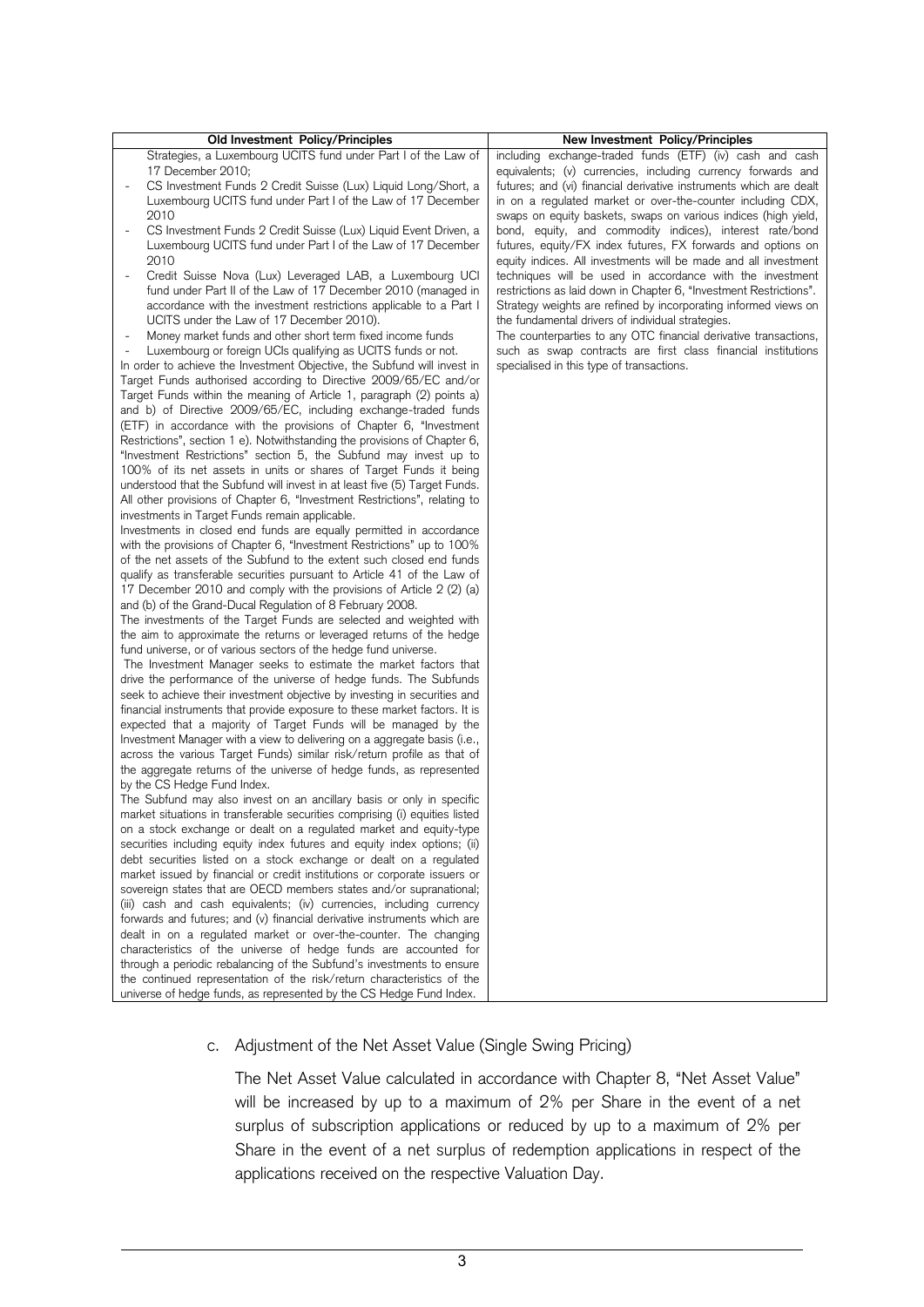| Old Investment Policy/Principles                                                                                                                                                                                                                                                                                                                                                                                                                                                                                                                                                                                                                                                                                                                                                                                                                                                                                                                                                                                                                                                                                                                                                                                                                                                                                                                                                                                                                                                                                                                                                                                                                                                                                                                                                                                                                                                                                                                                                                                                                                                                                                                                                                                                                                                                                                                                                                                                                                                                                                                                                                                                                                                                                                                                                                                                                                                                                                                                                                                                         | New Investment Policy/Principles                                                                                                                                                                                                                                                                                                                                                                                                                                                                                                                                                                                                                                                                                                                                                                                                                                                                                                                                            |
|------------------------------------------------------------------------------------------------------------------------------------------------------------------------------------------------------------------------------------------------------------------------------------------------------------------------------------------------------------------------------------------------------------------------------------------------------------------------------------------------------------------------------------------------------------------------------------------------------------------------------------------------------------------------------------------------------------------------------------------------------------------------------------------------------------------------------------------------------------------------------------------------------------------------------------------------------------------------------------------------------------------------------------------------------------------------------------------------------------------------------------------------------------------------------------------------------------------------------------------------------------------------------------------------------------------------------------------------------------------------------------------------------------------------------------------------------------------------------------------------------------------------------------------------------------------------------------------------------------------------------------------------------------------------------------------------------------------------------------------------------------------------------------------------------------------------------------------------------------------------------------------------------------------------------------------------------------------------------------------------------------------------------------------------------------------------------------------------------------------------------------------------------------------------------------------------------------------------------------------------------------------------------------------------------------------------------------------------------------------------------------------------------------------------------------------------------------------------------------------------------------------------------------------------------------------------------------------------------------------------------------------------------------------------------------------------------------------------------------------------------------------------------------------------------------------------------------------------------------------------------------------------------------------------------------------------------------------------------------------------------------------------------------------|-----------------------------------------------------------------------------------------------------------------------------------------------------------------------------------------------------------------------------------------------------------------------------------------------------------------------------------------------------------------------------------------------------------------------------------------------------------------------------------------------------------------------------------------------------------------------------------------------------------------------------------------------------------------------------------------------------------------------------------------------------------------------------------------------------------------------------------------------------------------------------------------------------------------------------------------------------------------------------|
| Strategies, a Luxembourg UCITS fund under Part I of the Law of<br>17 December 2010;<br>CS Investment Funds 2 Credit Suisse (Lux) Liquid Long/Short, a<br>Luxembourg UCITS fund under Part I of the Law of 17 December<br>2010<br>CS Investment Funds 2 Credit Suisse (Lux) Liquid Event Driven, a<br>$\overline{a}$<br>Luxembourg UCITS fund under Part I of the Law of 17 December<br>2010<br>Credit Suisse Nova (Lux) Leveraged LAB, a Luxembourg UCI<br>fund under Part II of the Law of 17 December 2010 (managed in<br>accordance with the investment restrictions applicable to a Part I<br>UCITS under the Law of 17 December 2010).<br>Money market funds and other short term fixed income funds<br>Luxembourg or foreign UCIs qualifying as UCITS funds or not.<br>In order to achieve the Investment Objective, the Subfund will invest in<br>Target Funds authorised according to Directive 2009/65/EC and/or<br>Target Funds within the meaning of Article 1, paragraph (2) points a)<br>and b) of Directive 2009/65/EC, including exchange-traded funds<br>(ETF) in accordance with the provisions of Chapter 6, "Investment<br>Restrictions", section 1 e). Notwithstanding the provisions of Chapter 6,<br>"Investment Restrictions" section 5, the Subfund may invest up to<br>100% of its net assets in units or shares of Target Funds it being<br>understood that the Subfund will invest in at least five (5) Target Funds.<br>All other provisions of Chapter 6, "Investment Restrictions", relating to<br>investments in Target Funds remain applicable.<br>Investments in closed end funds are equally permitted in accordance<br>with the provisions of Chapter 6, "Investment Restrictions" up to 100%<br>of the net assets of the Subfund to the extent such closed end funds<br>qualify as transferable securities pursuant to Article 41 of the Law of<br>17 December 2010 and comply with the provisions of Article 2 (2) (a)<br>and (b) of the Grand-Ducal Regulation of 8 February 2008.<br>The investments of the Target Funds are selected and weighted with<br>the aim to approximate the returns or leveraged returns of the hedge<br>fund universe, or of various sectors of the hedge fund universe.<br>The Investment Manager seeks to estimate the market factors that<br>drive the performance of the universe of hedge funds. The Subfunds<br>seek to achieve their investment objective by investing in securities and<br>financial instruments that provide exposure to these market factors. It is<br>expected that a majority of Target Funds will be managed by the<br>Investment Manager with a view to delivering on a aggregate basis (i.e.,<br>across the various Target Funds) similar risk/return profile as that of<br>the aggregate returns of the universe of hedge funds, as represented<br>by the CS Hedge Fund Index.<br>The Subfund may also invest on an ancillary basis or only in specific<br>market situations in transferable securities comprising (i) equities listed | including exchange-traded funds (ETF) (iv) cash and cash<br>equivalents; (v) currencies, including currency forwards and<br>futures; and (vi) financial derivative instruments which are dealt<br>in on a regulated market or over-the-counter including CDX,<br>swaps on equity baskets, swaps on various indices (high yield,<br>bond, equity, and commodity indices), interest rate/bond<br>futures, equity/FX index futures, FX forwards and options on<br>equity indices. All investments will be made and all investment<br>techniques will be used in accordance with the investment<br>restrictions as laid down in Chapter 6, "Investment Restrictions".<br>Strategy weights are refined by incorporating informed views on<br>the fundamental drivers of individual strategies.<br>The counterparties to any OTC financial derivative transactions,<br>such as swap contracts are first class financial institutions<br>specialised in this type of transactions. |
|                                                                                                                                                                                                                                                                                                                                                                                                                                                                                                                                                                                                                                                                                                                                                                                                                                                                                                                                                                                                                                                                                                                                                                                                                                                                                                                                                                                                                                                                                                                                                                                                                                                                                                                                                                                                                                                                                                                                                                                                                                                                                                                                                                                                                                                                                                                                                                                                                                                                                                                                                                                                                                                                                                                                                                                                                                                                                                                                                                                                                                          |                                                                                                                                                                                                                                                                                                                                                                                                                                                                                                                                                                                                                                                                                                                                                                                                                                                                                                                                                                             |
| on a stock exchange or dealt on a regulated market and equity-type<br>securities including equity index futures and equity index options; (ii)<br>debt securities listed on a stock exchange or dealt on a regulated<br>market issued by financial or credit institutions or corporate issuers or                                                                                                                                                                                                                                                                                                                                                                                                                                                                                                                                                                                                                                                                                                                                                                                                                                                                                                                                                                                                                                                                                                                                                                                                                                                                                                                                                                                                                                                                                                                                                                                                                                                                                                                                                                                                                                                                                                                                                                                                                                                                                                                                                                                                                                                                                                                                                                                                                                                                                                                                                                                                                                                                                                                                        |                                                                                                                                                                                                                                                                                                                                                                                                                                                                                                                                                                                                                                                                                                                                                                                                                                                                                                                                                                             |
| sovereign states that are OECD members states and/or supranational;<br>(iii) cash and cash equivalents; (iv) currencies, including currency<br>forwards and futures; and (v) financial derivative instruments which are<br>dealt in on a regulated market or over-the-counter. The changing<br>characteristics of the universe of hedge funds are accounted for<br>through a periodic rebalancing of the Subfund's investments to ensure<br>the continued representation of the risk/return characteristics of the<br>universe of hedge funds, as represented by the CS Hedge Fund Index.                                                                                                                                                                                                                                                                                                                                                                                                                                                                                                                                                                                                                                                                                                                                                                                                                                                                                                                                                                                                                                                                                                                                                                                                                                                                                                                                                                                                                                                                                                                                                                                                                                                                                                                                                                                                                                                                                                                                                                                                                                                                                                                                                                                                                                                                                                                                                                                                                                                |                                                                                                                                                                                                                                                                                                                                                                                                                                                                                                                                                                                                                                                                                                                                                                                                                                                                                                                                                                             |

## c. Adjustment of the Net Asset Value (Single Swing Pricing)

The Net Asset Value calculated in accordance with Chapter 8, "Net Asset Value" will be increased by up to a maximum of 2% per Share in the event of a net surplus of subscription applications or reduced by up to a maximum of 2% per Share in the event of a net surplus of redemption applications in respect of the applications received on the respective Valuation Day.